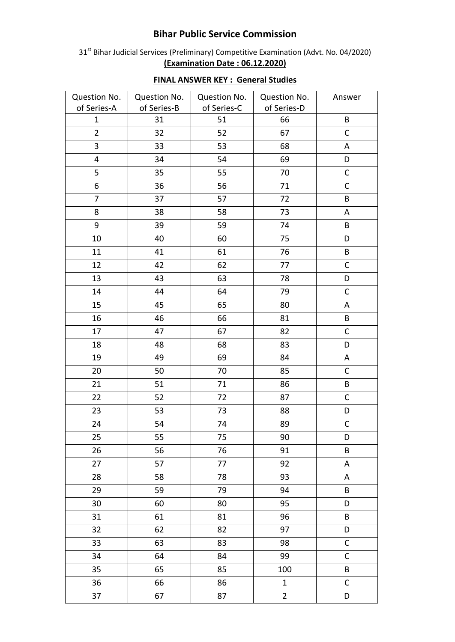## **Bihar Public Service Commission**

31<sup>st</sup> Bihar Judicial Services (Preliminary) Competitive Examination (Advt. No. 04/2020) **(Examination Date : 06.12.2020)**

| Question No.   | Question No. | Question No. | Question No.   | Answer      |
|----------------|--------------|--------------|----------------|-------------|
| of Series-A    | of Series-B  | of Series-C  | of Series-D    |             |
| $\mathbf{1}$   | 31           | 51           | 66             | $\sf{B}$    |
| $\overline{2}$ | 32           | 52           | 67             | $\mathsf C$ |
| 3              | 33           | 53           | 68             | $\mathsf A$ |
| 4              | 34           | 54           | 69             | D           |
| 5              | 35           | 55           | 70             | $\mathsf C$ |
| 6              | 36           | 56           | 71             | $\mathsf C$ |
| $\overline{7}$ | 37           | 57           | 72             | $\sf B$     |
| 8              | 38           | 58           | 73             | A           |
| 9              | 39           | 59           | 74             | B           |
| 10             | 40           | 60           | 75             | D           |
| 11             | 41           | 61           | 76             | $\sf{B}$    |
| 12             | 42           | 62           | 77             | $\mathsf C$ |
| 13             | 43           | 63           | 78             | D           |
| 14             | 44           | 64           | 79             | $\mathsf C$ |
| 15             | 45           | 65           | 80             | A           |
| 16             | 46           | 66           | 81             | B           |
| 17             | 47           | 67           | 82             | $\mathsf C$ |
| 18             | 48           | 68           | 83             | D           |
| 19             | 49           | 69           | 84             | A           |
| 20             | 50           | 70           | 85             | $\mathsf C$ |
| 21             | 51           | 71           | 86             | $\sf B$     |
| 22             | 52           | 72           | 87             | $\mathsf C$ |
| 23             | 53           | 73           | 88             | D           |
| 24             | 54           | 74           | 89             | $\mathsf C$ |
| 25             | 55           | 75           | 90             | D           |
| 26             | 56           | 76           | 91             | B           |
| 27             | 57           | 77           | 92             | A           |
| 28             | 58           | 78           | 93             | A           |
| 29             | 59           | 79           | 94             | B           |
| 30             | 60           | 80           | 95             | D           |
| 31             | 61           | 81           | 96             | B           |
| 32             | 62           | 82           | 97             | D           |
| 33             | 63           | 83           | 98             | $\mathsf C$ |
| 34             | 64           | 84           | 99             | $\mathsf C$ |
| 35             | 65           | 85           | 100            | B           |
| 36             | 66           | 86           | $\mathbf{1}$   | $\mathsf C$ |
| 37             | 67           | 87           | $\overline{2}$ | D           |

## **FINAL ANSWER KEY : General Studies**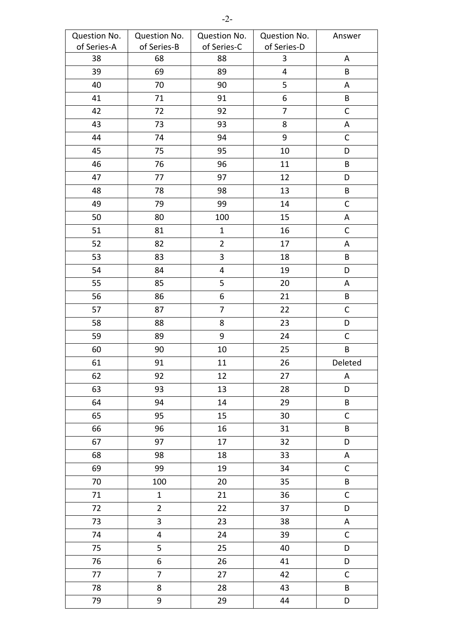| Question No. | Question No.   | Question No.            | Question No.            | Answer       |
|--------------|----------------|-------------------------|-------------------------|--------------|
| of Series-A  | of Series-B    | of Series-C             | of Series-D             |              |
| 38           | 68             | 88                      | $\mathbf{3}$            | A            |
| 39           | 69             | 89                      | $\overline{\mathbf{4}}$ | $\sf{B}$     |
| 40           | 70             | 90                      | 5                       | A            |
| 41           | 71             | 91                      | 6                       | $\sf{B}$     |
| 42           | 72             | 92                      | $\overline{7}$          | $\mathsf C$  |
| 43           | 73             | 93                      | 8                       | А            |
| 44           | 74             | 94                      | 9                       | $\mathsf C$  |
| 45           | 75             | 95                      | $10\,$                  | D            |
| 46           | 76             | 96                      | 11                      | B            |
| 47           | 77             | 97                      | 12                      | D            |
| 48           | 78             | 98                      | 13                      | $\sf{B}$     |
| 49           | 79             | 99                      | 14                      | $\mathsf C$  |
| 50           | 80             | 100                     | 15                      | A            |
| 51           | 81             | $\mathbf{1}$            | 16                      | $\mathsf C$  |
| 52           | 82             | $\overline{2}$          | 17                      | A            |
| 53           | 83             | $\mathbf{3}$            | 18                      | B            |
| 54           | 84             | $\overline{\mathbf{4}}$ | 19                      | D            |
| 55           | 85             | 5                       | 20                      | Α            |
| 56           | 86             | 6                       | 21                      | B            |
| 57           | 87             | $\overline{7}$          | 22                      | $\mathsf C$  |
| 58           | 88             | 8                       | 23                      | D            |
| 59           | 89             | $9\,$                   | 24                      | $\mathsf C$  |
| 60           | 90             | 10                      | 25                      | $\sf{B}$     |
| 61           | 91             | 11                      | 26                      | Deleted      |
| 62           | 92             | 12                      | 27                      | A            |
| 63           | 93             | 13                      | 28                      | D            |
| 64           | 94             | 14                      | 29                      | $\sf{B}$     |
| 65           | 95             | 15                      | 30                      | $\mathsf C$  |
| 66           | 96             | 16                      | 31                      | B            |
| 67           | 97             | 17                      | 32                      | D            |
| 68           | 98             | 18                      | 33                      | A            |
| 69           | 99             | 19                      | 34                      | $\mathsf C$  |
| 70           | 100            | 20                      | 35                      | $\sf{B}$     |
| 71           | $\mathbf{1}$   | 21                      | 36                      | $\mathsf C$  |
| 72           | $\overline{2}$ | 22                      | 37                      | D            |
| 73           | 3              | 23                      | 38                      | A            |
| 74           | 4              | 24                      | 39                      | $\mathsf C$  |
| 75           | 5              | 25                      | 40                      | D            |
| 76           | 6              | 26                      | 41                      | D            |
| 77           | $\overline{7}$ | 27                      | 42                      | $\mathsf{C}$ |
| 78           | 8              | 28                      | 43                      | $\sf{B}$     |
| 79           | 9              | 29                      | 44                      | D            |